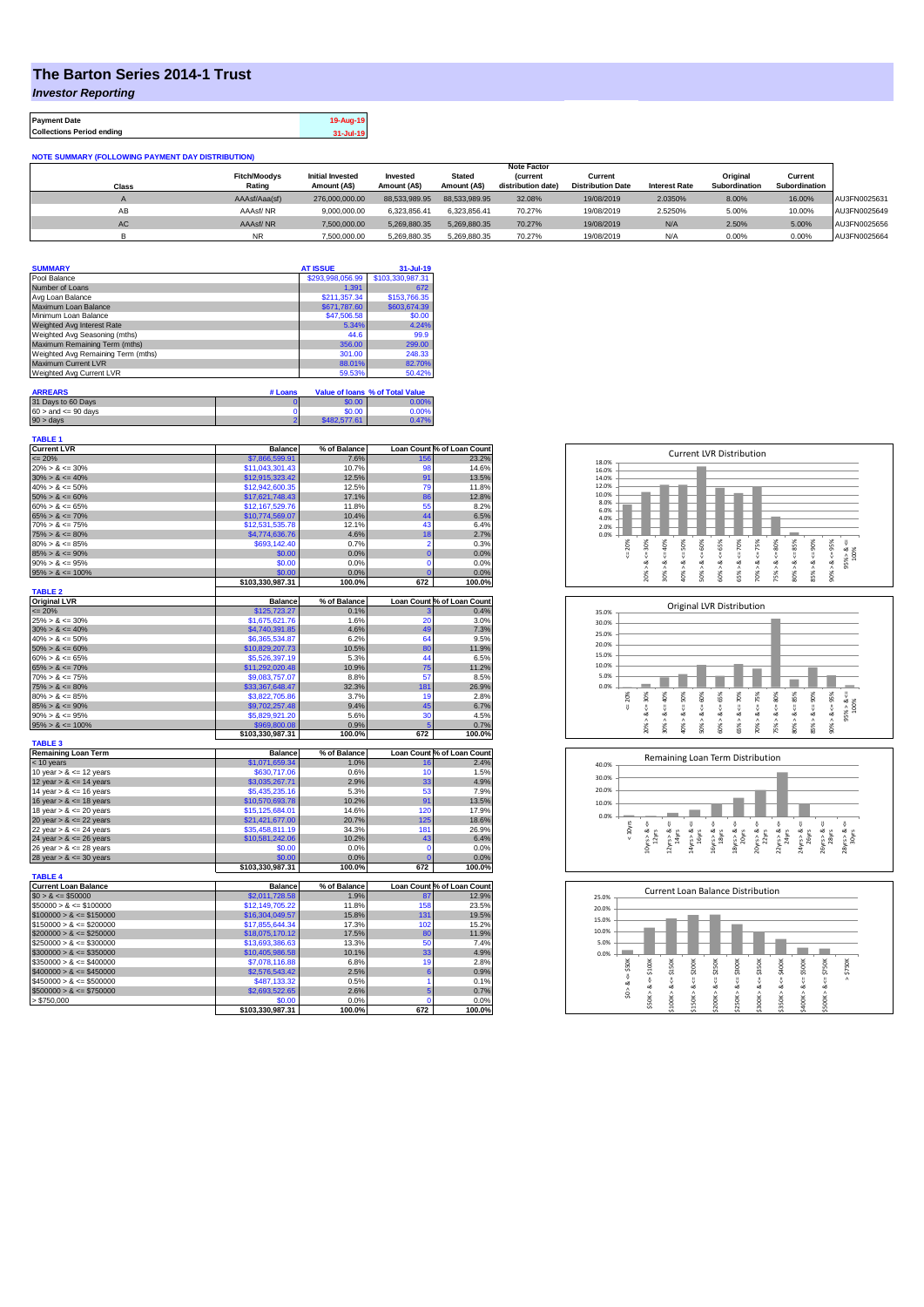## **The Barton Series 2014-1 Trust**

*Investor Reporting*

| <b>Payment Date</b>              | 19-Aug-19 |
|----------------------------------|-----------|
| <b>Collections Period ending</b> | 31-Jul-19 |

| <b>NOTE SUMMARY (FOLLOWING PAYMENT DAY DISTRIBUTION)</b> |                     |                         |               |               |                    |                          |                      |               |               |              |
|----------------------------------------------------------|---------------------|-------------------------|---------------|---------------|--------------------|--------------------------|----------------------|---------------|---------------|--------------|
|                                                          |                     |                         |               |               | <b>Note Factor</b> |                          |                      |               |               |              |
|                                                          | <b>Fitch/Moodys</b> | <b>Initial Invested</b> | Invested      | <b>Stated</b> | <b>Current</b>     | Current                  |                      | Original      | Current       |              |
| <b>Class</b>                                             | Rating              | Amount (A\$)            | Amount (A\$)  | Amount (A\$)  | distribution date) | <b>Distribution Date</b> | <b>Interest Rate</b> | Subordination | Subordination |              |
| $\mathsf{A}$                                             | AAAsf/Aaa(sf)       | 276.000.000.00          | 88,533,989,95 | 88.533.989.95 | 32.08%             | 19/08/2019               | 2.0350%              | 8.00%         | 16.00%        | AU3FN0025631 |
| AB                                                       | AAAsf/NR            | 9.000.000.00            | 6.323.856.41  | 6.323.856.41  | 70.27%             | 19/08/2019               | 2.5250%              | 5.00%         | 10.00%        | AU3FN0025649 |
| AC                                                       | AAAsf/NR            | 7.500.000.00            | 5.269.880.35  | 5.269.880.35  | 70.27%             | 19/08/2019               | N/A                  | 2.50%         | 5.00%         | AU3FN0025656 |
|                                                          | <b>NR</b>           | 7.500.000.00            | 5.269.880.35  | 5.269.880.35  | 70.27%             | 19/08/2019               | N/A                  | 0.00%         | 0.00%         | AU3FN0025664 |

| <b>SUMMARY</b>                     |                | <b>AT ISSUE</b>  | $31 -$ Jul-19                   |
|------------------------------------|----------------|------------------|---------------------------------|
| Pool Balance                       |                | \$293,998,056.99 | \$103,330,987.31                |
| Number of Loans                    |                | 1.391            | 672                             |
| Avg Loan Balance                   |                | \$211.357.34     | \$153,766.35                    |
| Maximum Loan Balance               |                | \$671,787.60     | \$603,674.39                    |
| Minimum Loan Balance               |                | \$47,506.58      | \$0.00                          |
| Weighted Avg Interest Rate         |                | 5.34%            | 4.24%                           |
| Weighted Avg Seasoning (mths)      |                | 44.6             | 99.9                            |
| Maximum Remaining Term (mths)      |                | 356.00           | 299.00                          |
| Weighted Avg Remaining Term (mths) |                | 301.00           | 248.33                          |
| Maximum Current LVR                |                | 88.01%           | 82.70%                          |
| Weighted Avg Current LVR           |                | 59.53%           | 50.42%                          |
|                                    |                |                  |                                 |
| <b>ARREARS</b>                     | # Loans        |                  | Value of Ioans % of Total Value |
| 31 Days to 60 Days                 |                | \$0.00           | 0.00%                           |
| $60 >$ and $\leq 90$ days          |                | \$0.00           | 0.00%                           |
| $90 >$ days                        | $\overline{2}$ | \$482,577.61     | 0.47%                           |

| <b>TABLE 1</b>              |                  |              |                |                            |
|-----------------------------|------------------|--------------|----------------|----------------------------|
| <b>Current LVR</b>          | <b>Balance</b>   | % of Balance |                | Loan Count % of Loan Count |
| $\leq$ 20%                  | \$7,866,599.91   | 7.6%         | 156            | 23.2%                      |
| $20\% > 8 \le 30\%$         | \$11,043,301.43  | 10.7%        | 98             | 14.6%                      |
| $30\% > 8 \le 40\%$         | \$12,915,323.42  | 12.5%        | 91             | 13.5%                      |
| $40\% > 8 \le 50\%$         | \$12,942,600.35  | 12.5%        | 79             | 11.8%                      |
| $50\% > 8 \le 60\%$         | \$17,621,748.43  | 17.1%        | 86             | 12.8%                      |
| $60\% > 8 \le 65\%$         | \$12,167,529.76  | 11.8%        | 55             | 8.2%                       |
| $65\% > 8 \le 70\%$         | \$10,774,569.07  | 10.4%        | 44             | 6.5%                       |
| $70\% > 8 \le 75\%$         | \$12,531,535.78  | 12.1%        | 43             | 6.4%                       |
| $75\% > 8 \le 80\%$         | \$4,774,636.76   | 4.6%         | 18             | 2.7%                       |
| $80\% > 8 \le 85\%$         | \$693,142.40     | 0.7%         | $\overline{2}$ | 0.3%                       |
| $85\% > 8 \le 90\%$         | \$0.00           | 0.0%         | $\overline{0}$ | 0.0%                       |
| $90\% > 8 \le 95\%$         | \$0.00           | 0.0%         | Ō              | 0.0%                       |
| $95\% > 8 \le 100\%$        | \$0.00           | 0.0%         | C              | 0.0%                       |
|                             | \$103,330,987.31 | 100.0%       | 672            | 100.0%                     |
| <b>TABLE 2</b>              |                  |              |                |                            |
| <b>Original LVR</b>         | <b>Balance</b>   | % of Balance |                | Loan Count % of Loan Count |
| $\leq$ 20%                  | \$125,723.27     | 0.1%         |                | 0.4%                       |
| $25\% > 8 \le 30\%$         | \$1,675,621.76   | 1.6%         | 20             | 3.0%                       |
| $30\% > 8 \le 40\%$         | \$4,740,391.85   | 4.6%         | 49             | 7.3%                       |
| $40\% > 8 \le 50\%$         | \$6,365,534.87   | 6.2%         | 64             | 9.5%                       |
| $50\% > 8 \le 60\%$         | \$10,829,207.73  | 10.5%        | 80             | 11.9%                      |
| $60\% > 8 \le 65\%$         | \$5,526,397.19   | 5.3%         | 44             | 6.5%                       |
| $65\% > 8 \le 70\%$         | \$11,292,020.48  | 10.9%        | 75             | 11.2%                      |
| $70\% > 8 \le 75\%$         | \$9,083,757.07   | 8.8%         | 57             | 8.5%                       |
| $75\% > 8 \le 80\%$         | \$33,367,648.47  | 32.3%        | 181            | 26.9%                      |
| $80\% > 8 \le 85\%$         | \$3,822,705.86   | 3.7%         | 19             | 2.8%                       |
| $85\% > 8 \le 90\%$         | \$9,702,257.48   | 9.4%         | 45             | 6.7%                       |
| $90\% > 8 \le 95\%$         | \$5,829,921.20   | 5.6%         | 30             | 4.5%                       |
| $95\% > 8 \le 100\%$        | \$969,800.08     | 0.9%         |                | 0.7%                       |
| <b>TABLE 3</b>              | \$103,330,987.31 | 100.0%       | 672            | 100.0%                     |
| <b>Remaining Loan Term</b>  | <b>Balance</b>   | % of Balance |                | Loan Count % of Loan Count |
| $<$ 10 years                | \$1,071,659.34   | 1.0%         | 16             | 2.4%                       |
| 10 year $> 8 \le 12$ years  | \$630,717.06     | 0.6%         | 10             | 1.5%                       |
| 12 year $> 8 \le 14$ years  | \$3,035,267.71   | 2.9%         | 33             | 4.9%                       |
| 14 year $> 8 \le 16$ years  | \$5,435,235.16   | 5.3%         | 53             | 7.9%                       |
| 16 year $> 8 \le 18$ years  | \$10,570,693.78  | 10.2%        | 91             | 13.5%                      |
| 18 year $> 8 \le 20$ years  | \$15,125,684.01  | 14.6%        | 120            | 17.9%                      |
| 20 year $> 8 \le 22$ years  | \$21,421,677.00  | 20.7%        | 125            | 18.6%                      |
| 22 year $> 8 \le 24$ years  | \$35,458,811.19  | 34.3%        | 181            | 26.9%                      |
| 24 year $> 8 \le 26$ years  | \$10,581,242.06  | 10.2%        | 43             | 6.4%                       |
| 26 year $> 8 \le 28$ years  | \$0.00           | 0.0%         | 0              | 0.0%                       |
| 28 year $> 8 \le 30$ years  | \$0.00           | 0.0%         | ٢              | 0.0%                       |
|                             | \$103,330,987.31 | 100.0%       | 672            | 100.0%                     |
| <b>TABLE 4</b>              |                  |              |                |                            |
| <b>Current Loan Balance</b> | <b>Balance</b>   | % of Balance |                | Loan Count % of Loan Count |
| $$0 > 8 \leq $50000$        | \$2,011,728.58   | 1.9%         | 87             | 12.9%                      |
| $$50000 > 8 \le $100000$    | \$12,149,705.22  | 11.8%        | 158            | 23.5%                      |
| $$100000 > 8 \le $150000$   | \$16,304,049.57  | 15.8%        | 131            | 19.5%                      |
| $$150000 > 8 \leq $200000$  | \$17,855,644.34  | 17.3%        | 102            | 15.2%                      |
| $$200000 > 8 \leq $250000$  | \$18,075,170.12  | 17.5%        | 80             | 11.9%                      |
| $$250000 > 8 \leq $300000$  | \$13,693,386.63  | 13.3%        | 50             | 7.4%                       |
| $$300000 > 8 \leq $350000$  | \$10,405,986.58  | 10.1%        | 33             | 4.9%                       |
| $$350000 > 8 \leq $400000$  | \$7,078,116.88   | 6.8%         | 19             | 2.8%                       |
| $$400000 > 8 \le $450000$   | \$2,576,543.42   | 2.5%         | 6              | 0.9%                       |
| $$450000 > 8 \le $500000$   | \$487,133.32     | 0.5%         | 1              | 0.1%                       |
| $$500000 > 8 \le $750000$   | \$2,693,522.65   | 2.6%         | 5              | 0.7%                       |
| > \$750,000                 | \$0.00           | 0.0%         | ٢              | 0.0%                       |
|                             | \$103,330,987.31 | 100.0%       | 672            | 100.0%                     |







| 20.0%<br>15.0%<br>10.0%<br>5.0%                                                                         |                  |
|---------------------------------------------------------------------------------------------------------|------------------|
|                                                                                                         |                  |
|                                                                                                         |                  |
|                                                                                                         |                  |
|                                                                                                         |                  |
| 0.0%                                                                                                    |                  |
| \$300K<br>\$150K<br>\$200K<br>\$250K<br>\$350K<br>\$400K<br>\$500K<br>\$100K<br>\$50K                   | \$750K<br>\$750K |
| ő                                                                                                       | $\wedge$         |
| ű<br>ő<br>V<br>ű<br>œ<br>ಜ<br>∞<br>ಯ<br>œ<br>ಯ<br>œ<br>œ                                                | ű<br>∞           |
| \$150K > 8<br>Λ<br>\$250K><br>\$50K><br>Λ<br>Λ<br>\$350K><br>S.<br>\$100K<br>\$200K<br>\$400K<br>\$300K | \$500K>          |